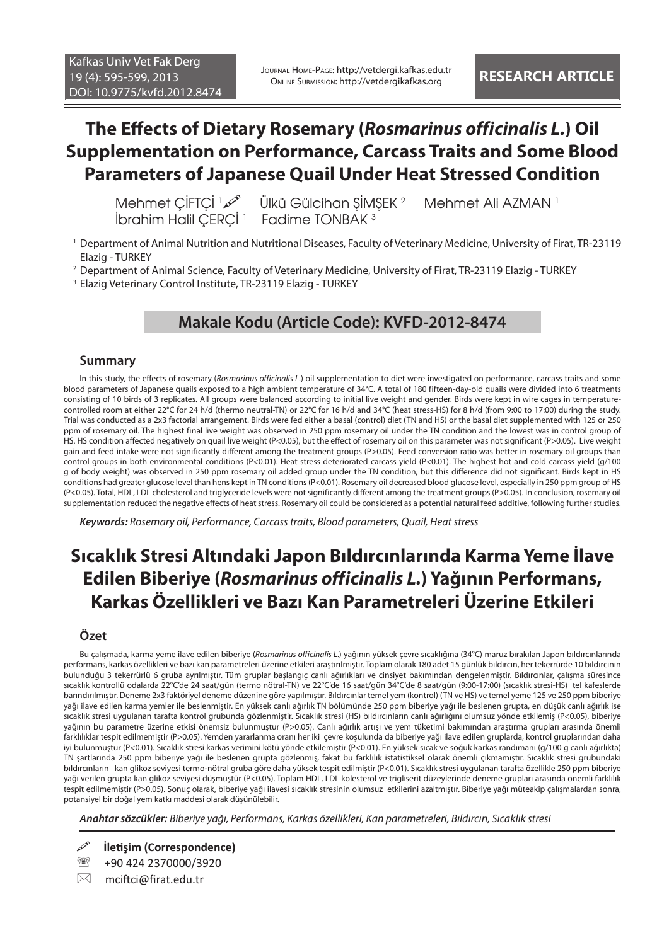Journal Home-Page: http://vetdergi.kafkas.edu.tr Online Submission: http://vetdergikafkas.org **RESEARCH ARTICLE**

# **The Effects of Dietary Rosemary (***Rosmarinus officinalis L.***) Oil Supplementation on Performance, Carcass Traits and Some Blood Parameters of Japanese Quail Under Heat Stressed Condition**

lbrahim Halil ÇERÇİ <sup>1</sup> Fadime TONBAK <sup>3</sup>

 Mehmet ÇİFTÇİ <sup>1</sup> Ülkü Gülcihan ŞİMŞEK <sup>2</sup> Mehmet Ali AZMAN<sup>1</sup>

- 1 Department of Animal Nutrition and Nutritional Diseases, Faculty of Veterinary Medicine, University of Firat, TR-23119 Elazig - TURKEY
- 2 Department of Animal Science, Faculty of Veterinary Medicine, University of Firat, TR-23119 Elazig TURKEY
- 3 Elazig Veterinary Control Institute, TR-23119 Elazig TURKEY

## **Makale Kodu (Article Code): KVFD-2012-8474**

### **Summary**

In this study, the effects of rosemary (*Rosmarinus officinalis L*.) oil supplementation to diet were investigated on performance, carcass traits and some blood parameters of Japanese quails exposed to a high ambient temperature of 34°C. A total of 180 fifteen-day-old quails were divided into 6 treatments consisting of 10 birds of 3 replicates. All groups were balanced according to initial live weight and gender. Birds were kept in wire cages in temperaturecontrolled room at either 22°C for 24 h/d (thermo neutral-TN) or 22°C for 16 h/d and 34°C (heat stress-HS) for 8 h/d (from 9:00 to 17:00) during the study. Trial was conducted as a 2x3 factorial arrangement. Birds were fed either a basal (control) diet (TN and HS) or the basal diet supplemented with 125 or 250 ppm of rosemary oil. The highest final live weight was observed in 250 ppm rosemary oil under the TN condition and the lowest was in control group of HS. HS condition affected negatively on quail live weight (P<0.05), but the effect of rosemary oil on this parameter was not significant (P>0.05). Live weight gain and feed intake were not significantly different among the treatment groups (P>0.05). Feed conversion ratio was better in rosemary oil groups than control groups in both environmental conditions (P<0.01). Heat stress deteriorated carcass yield (P<0.01). The highest hot and cold carcass yield (g/100 g of body weight) was observed in 250 ppm rosemary oil added group under the TN condition, but this difference did not significant. Birds kept in HS conditions had greater glucose level than hens kept in TN conditions (P<0.01). Rosemary oil decreased blood glucose level, especially in 250 ppm group of HS (P<0.05). Total, HDL, LDL cholesterol and triglyceride levels were not significantly different among the treatment groups (P>0.05). In conclusion, rosemary oil supplementation reduced the negative effects of heat stress. Rosemary oil could be considered as a potential natural feed additive, following further studies.

*Keywords: Rosemary oil, Performance, Carcass traits, Blood parameters, Quail, Heat stress*

# **Sıcaklık Stresi Altındaki Japon Bıldırcınlarında Karma Yeme İlave Edilen Biberiye (***Rosmarinus officinalis L.***) Yağının Performans, Karkas Özellikleri ve Bazı Kan Parametreleri Üzerine Etkileri**

### **Özet**

Bu çalışmada, karma yeme ilave edilen biberiye (*Rosmarinus officinalis L*.) yağının yüksek çevre sıcaklığına (34°C) maruz bırakılan Japon bıldırcınlarında performans, karkas özellikleri ve bazı kan parametreleri üzerine etkileri araştırılmıştır. Toplam olarak 180 adet 15 günlük bıldırcın, her tekerrürde 10 bıldırcının bulunduğu 3 tekerrürlü 6 gruba ayrılmıştır. Tüm gruplar başlangıç canlı ağırlıkları ve cinsiyet bakımından dengelenmiştir. Bıldırcınlar, çalışma süresince sıcaklık kontrollü odalarda 22°C'de 24 saat/gün (termo nötral-TN) ve 22°C'de 16 saat/gün 34°C'de 8 saat/gün (9:00-17:00) (sıcaklık stresi-HS) tel kafeslerde barındırılmıştır. Deneme 2x3 faktöriyel deneme düzenine göre yapılmıştır. Bıldırcınlar temel yem (kontrol) (TN ve HS) ve temel yeme 125 ve 250 ppm biberiye yağı ilave edilen karma yemler ile beslenmiştir. En yüksek canlı ağırlık TN bölümünde 250 ppm biberiye yağı ile beslenen grupta, en düşük canlı ağırlık ise sıcaklık stresi uygulanan tarafta kontrol grubunda gözlenmiştir. Sıcaklık stresi (HS) bıldırcınların canlı ağırlığını olumsuz yönde etkilemiş (P<0.05), biberiye yağının bu parametre üzerine etkisi önemsiz bulunmuştur (P>0.05). Canlı ağırlık artışı ve yem tüketimi bakımından araştırma grupları arasında önemli farklılıklar tespit edilmemiştir (P>0.05). Yemden yararlanma oranı her iki çevre koşulunda da biberiye yağı ilave edilen gruplarda, kontrol gruplarından daha iyi bulunmuştur (P<0.01). Sıcaklık stresi karkas verimini kötü yönde etkilemiştir (P<0.01). En yüksek sıcak ve soğuk karkas randımanı (g/100 g canlı ağırlıkta) TN şartlarında 250 ppm biberiye yağı ile beslenen grupta gözlenmiş, fakat bu farklılık istatistiksel olarak önemli çıkmamıştır. Sıcaklık stresi grubundaki bıldırcınların kan glikoz seviyesi termo-nötral gruba göre daha yüksek tespit edilmiştir (P<0.01). Sıcaklık stresi uygulanan tarafta özellikle 250 ppm biberiye yağı verilen grupta kan glikoz seviyesi düşmüştür (P<0.05). Toplam HDL, LDL kolesterol ve trigliserit düzeylerinde deneme grupları arasında önemli farklılık tespit edilmemiştir (P>0.05). Sonuç olarak, biberiye yağı ilavesi sıcaklık stresinin olumsuz etkilerini azaltmıştır. Biberiye yağı müteakip çalışmalardan sonra, potansiyel bir doğal yem katkı maddesi olarak düşünülebilir.

*Anahtar sözcükler: Biberiye yağı, Performans, Karkas özellikleri, Kan parametreleri, Bıldırcın, Sıcaklık stresi*

**İletişim (Correspondence)**

<sup>2</sup>/<sub>3920</sub> +90 424 2370000/3920

 $\boxtimes$  mciftci@firat.edu.tr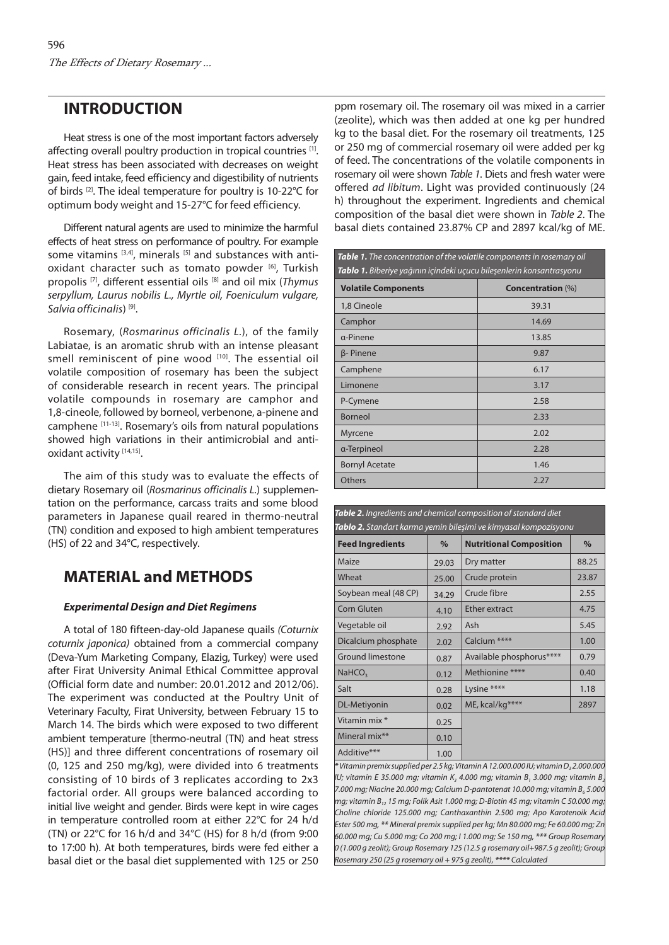# **INTRODUCTION**

Heat stress is one of the most important factors adversely affecting overall poultry production in tropical countries [1]. Heat stress has been associated with decreases on weight gain, feed intake, feed efficiency and digestibility of nutrients of birds [2]. The ideal temperature for poultry is 10-22°C for optimum body weight and 15-27°C for feed efficiency.

Different natural agents are used to minimize the harmful effects of heat stress on performance of poultry. For example some vitamins  $[3,4]$ , minerals  $[5]$  and substances with antioxidant character such as tomato powder [6], Turkish propolis [7], different essential oils [8] and oil mix (*Thymus serpyllum, Laurus nobilis L., Myrtle oil, Foeniculum vulgare, Salvia officinalis*) [9].

Rosemary, (*Rosmarinus officinalis L.*), of the family Labiatae, is an aromatic shrub with an intense pleasant smell reminiscent of pine wood [10]. The essential oil volatile composition of rosemary has been the subject of considerable research in recent years. The principal volatile compounds in rosemary are camphor and 1,8-cineole, followed by borneol, verbenone, a-pinene and camphene [11-13]. Rosemary's oils from natural populations showed high variations in their antimicrobial and antioxidant activity [14,15].

The aim of this study was to evaluate the effects of dietary Rosemary oil (*Rosmarinus officinalis L.*) supplementation on the performance, carcass traits and some blood parameters in Japanese quail reared in thermo-neutral (TN) condition and exposed to high ambient temperatures (HS) of 22 and 34°C, respectively.

# **MATERIAL and METHODS**

### *Experimental Design and Diet Regimens*

A total of 180 fifteen-day-old Japanese quails *(Coturnix coturnix japonica)* obtained from a commercial company (Deva-Yum Marketing Company, Elazig, Turkey) were used after Firat University Animal Ethical Committee approval (Official form date and number: 20.01.2012 and 2012/06). The experiment was conducted at the Poultry Unit of Veterinary Faculty, Firat University, between February 15 to March 14. The birds which were exposed to two different ambient temperature [thermo-neutral (TN) and heat stress (HS)] and three different concentrations of rosemary oil (0, 125 and 250 mg/kg), were divided into 6 treatments consisting of 10 birds of 3 replicates according to 2x3 factorial order. All groups were balanced according to initial live weight and gender. Birds were kept in wire cages in temperature controlled room at either 22°C for 24 h/d (TN) or 22°C for 16 h/d and 34°C (HS) for 8 h/d (from 9:00 to 17:00 h). At both temperatures, birds were fed either a basal diet or the basal diet supplemented with 125 or 250

ppm rosemary oil. The rosemary oil was mixed in a carrier (zeolite), which was then added at one kg per hundred kg to the basal diet. For the rosemary oil treatments, 125 or 250 mg of commercial rosemary oil were added per kg of feed. The concentrations of the volatile components in rosemary oil were shown *Table 1*. Diets and fresh water were offered *ad libitum*. Light was provided continuously (24 h) throughout the experiment. Ingredients and chemical composition of the basal diet were shown in *Table 2*. The basal diets contained 23.87% CP and 2897 kcal/kg of ME.

| Table 1. The concentration of the volatile components in rosemary oil<br><b>Tablo 1.</b> Biberiye yağının içindeki uçucu bileşenlerin konsantrasyonu |                          |  |  |  |  |
|------------------------------------------------------------------------------------------------------------------------------------------------------|--------------------------|--|--|--|--|
| <b>Volatile Components</b>                                                                                                                           | <b>Concentration (%)</b> |  |  |  |  |
| 1,8 Cineole                                                                                                                                          | 39.31                    |  |  |  |  |
| Camphor                                                                                                                                              | 14.69                    |  |  |  |  |
| a-Pinene                                                                                                                                             | 13.85                    |  |  |  |  |
| β-Pinene                                                                                                                                             | 9.87                     |  |  |  |  |
| Camphene                                                                                                                                             | 6.17                     |  |  |  |  |
| Limonene                                                                                                                                             | 3.17                     |  |  |  |  |
| P-Cymene                                                                                                                                             | 2.58                     |  |  |  |  |
| Borneol                                                                                                                                              | 2.33                     |  |  |  |  |
| Myrcene                                                                                                                                              | 2.02                     |  |  |  |  |
| α-Terpineol                                                                                                                                          | 2.28                     |  |  |  |  |
| <b>Bornyl Acetate</b>                                                                                                                                | 1.46                     |  |  |  |  |
| Others                                                                                                                                               | 2.27                     |  |  |  |  |

| Tablo 2. Standart karma yemin bileşimi ve kimyasal kompozisyonu |       |                                |       |  |  |  |  |
|-----------------------------------------------------------------|-------|--------------------------------|-------|--|--|--|--|
| <b>Feed Ingredients</b>                                         | $\%$  | <b>Nutritional Composition</b> | $\%$  |  |  |  |  |
| Maize                                                           | 29.03 | Dry matter                     | 88.25 |  |  |  |  |
| Wheat                                                           | 25.00 | Crude protein                  | 23.87 |  |  |  |  |
| Soybean meal (48 CP)                                            | 34.29 | Crude fibre                    | 2.55  |  |  |  |  |
| <b>Corn Gluten</b>                                              | 4.10  | <b>Ether extract</b>           | 4.75  |  |  |  |  |
| Vegetable oil                                                   | 2.92  | Ash                            | 5.45  |  |  |  |  |
| Dicalcium phosphate                                             | 2.02  | Calcium <sup>****</sup>        | 1.00  |  |  |  |  |
| <b>Ground limestone</b>                                         | 0.87  | Available phosphorus****       | 0.79  |  |  |  |  |
| NaHCO <sub>3</sub>                                              | 0.12  | Methionine ****                | 0.40  |  |  |  |  |
| Salt                                                            | 0.28  | Lysine ****                    | 1.18  |  |  |  |  |
| DL-Metiyonin                                                    | 0.02  | ME, kcal/kg****                | 2897  |  |  |  |  |
| Vitamin mix *                                                   | 0.25  |                                |       |  |  |  |  |
| Mineral mix**                                                   | 0.10  |                                |       |  |  |  |  |
| Additive***                                                     | 1.00  |                                |       |  |  |  |  |

*Table 2. Ingredients and chemical composition of standard diet*

*\** Vitamin premix supplied per 2.5 kg; Vitamin A 12.000.000 IU; vitamin D<sub>3</sub>2.000.000 *IU; vitamin E 35.000 mg; vitamin K<sub>3</sub> 4.000 mg; vitamin B<sub>1</sub> 3.000 mg; vitamin B<sub>1</sub>*  $7.000$  mg; Niacine 20.000 mg; Calcium D-pantotenat 10.000 mg; vitamin  $B_6$  5.000 *mg; vitamin B12 15 mg; Folik Asit 1.000 mg; D-Biotin 45 mg; vitamin C 50.000 mg; Choline chloride 125.000 mg; Canthaxanthin 2.500 mg; Apo Karotenoik Acid Ester 500 mg, \*\* Mineral premix supplied per kg; Mn 80.000 mg; Fe 60.000 mg; Zn 60.000 mg; Cu 5.000 mg; Co 200 mg; I 1.000 mg; Se 150 mg, \*\*\* Group Rosemary 0 (1.000 g zeolit); Group Rosemary 125 (12.5 g rosemary oil+987.5 g zeolit); Group Rosemary 250 (25 g rosemary oil + 975 g zeolit), \*\*\*\* Calculated*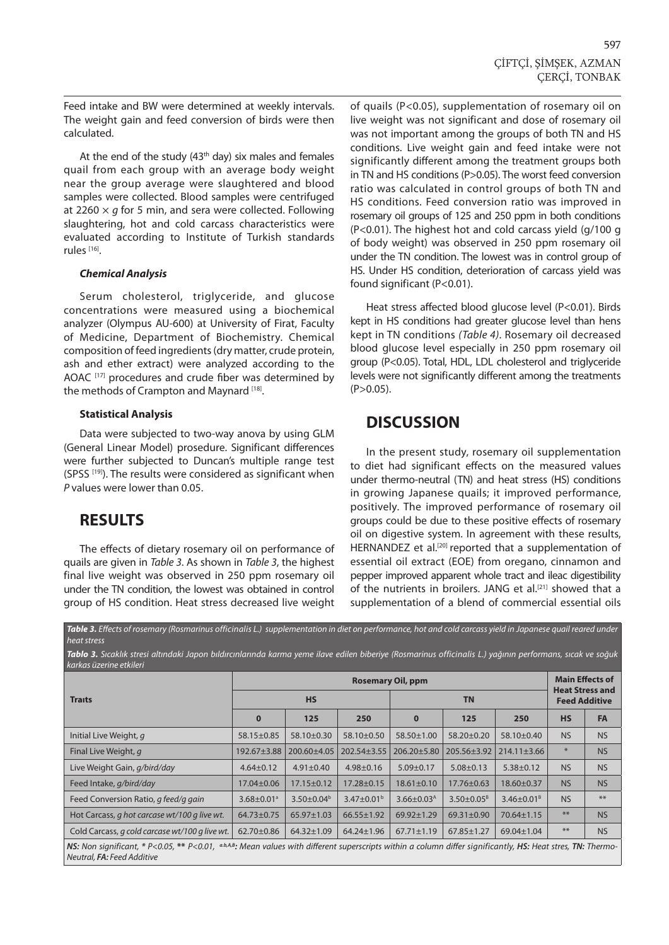Feed intake and BW were determined at weekly intervals. The weight gain and feed conversion of birds were then calculated.

At the end of the study  $(43<sup>th</sup>$  day) six males and females quail from each group with an average body weight near the group average were slaughtered and blood samples were collected. Blood samples were centrifuged at 2260 × *g* for 5 min, and sera were collected. Following slaughtering, hot and cold carcass characteristics were evaluated according to Institute of Turkish standards rules [16].

#### *Chemical Analysis*

Serum cholesterol, triglyceride, and glucose concentrations were measured using a biochemical analyzer (Olympus AU-600) at University of Firat, Faculty of Medicine, Department of Biochemistry. Chemical composition of feed ingredients (dry matter, crude protein, ash and ether extract) were analyzed according to the AOAC<sup>[17]</sup> procedures and crude fiber was determined by the methods of Crampton and Maynard [18].

### **Statistical Analysis**

Data were subjected to two-way anova by using GLM (General Linear Model) prosedure. Significant differences were further subjected to Duncan's multiple range test (SPSS [19]). The results were considered as significant when *P* values were lower than 0.05.

## **RESULTS**

The effects of dietary rosemary oil on performance of quails are given in *Table 3*. As shown in *Table 3*, the highest final live weight was observed in 250 ppm rosemary oil under the TN condition, the lowest was obtained in control group of HS condition. Heat stress decreased live weight

of quails (P<0.05), supplementation of rosemary oil on live weight was not significant and dose of rosemary oil was not important among the groups of both TN and HS conditions. Live weight gain and feed intake were not significantly different among the treatment groups both in TN and HS conditions (P>0.05). The worst feed conversion ratio was calculated in control groups of both TN and HS conditions. Feed conversion ratio was improved in rosemary oil groups of 125 and 250 ppm in both conditions (P<0.01). The highest hot and cold carcass yield (g/100 g of body weight) was observed in 250 ppm rosemary oil under the TN condition. The lowest was in control group of HS. Under HS condition, deterioration of carcass yield was found significant (P<0.01).

Heat stress affected blood glucose level (P<0.01). Birds kept in HS conditions had greater glucose level than hens kept in TN conditions *(Table 4)*. Rosemary oil decreased blood glucose level especially in 250 ppm rosemary oil group (P<0.05). Total, HDL, LDL cholesterol and triglyceride levels were not significantly different among the treatments  $(P>0.05)$ .

## **DISCUSSION**

In the present study, rosemary oil supplementation to diet had significant effects on the measured values under thermo-neutral (TN) and heat stress (HS) conditions in growing Japanese quails; it improved performance, positively. The improved performance of rosemary oil groups could be due to these positive effects of rosemary oil on digestive system. In agreement with these results, HERNANDEZ et al.<sup>[20]</sup> reported that a supplementation of essential oil extract (EOE) from oregano, cinnamon and pepper improved apparent whole tract and ileac digestibility of the nutrients in broilers. JANG et al.<sup>[21]</sup> showed that a supplementation of a blend of commercial essential oils

*Table 3. Effects of rosemary (Rosmarinus officinalis L.) supplementation in diet on performance, hot and cold carcass yield in Japanese quail reared under heat stress*

*Tablo 3. Sıcaklık stresi altındaki Japon bıldırcınlarında karma yeme ilave edilen biberiye (Rosmarinus officinalis L.) yağının performans, sıcak ve soğuk karkas üzerine etkileri*

|                                                                                                                                                                                                 | <b>Rosemary Oil, ppm</b>     |                   |                            |                            |                                                |                   | <b>Main Effects of</b> |           |
|-------------------------------------------------------------------------------------------------------------------------------------------------------------------------------------------------|------------------------------|-------------------|----------------------------|----------------------------|------------------------------------------------|-------------------|------------------------|-----------|
| <b>Traits</b>                                                                                                                                                                                   |                              | <b>HS</b>         |                            |                            | <b>Heat Stress and</b><br><b>Feed Additive</b> |                   |                        |           |
|                                                                                                                                                                                                 | $\bf{0}$                     | 125               | 250                        | $\bf{0}$                   | 125                                            | 250               | <b>HS</b>              | <b>FA</b> |
| Initial Live Weight, q                                                                                                                                                                          | 58.15±0.85                   | 58.10±0.30        | 58.10±0.50                 | 58.50±1.00                 | 58.20±0.20                                     | 58.10±0.40        | <b>NS</b>              | <b>NS</b> |
| Final Live Weight, q                                                                                                                                                                            | 192.67±3.88                  | 200.60±4.05       | $202.54 \pm 3.55$          | 206.20±5.80                | 205.56±3.92                                    | $214.11 \pm 3.66$ | $\ast$                 | <b>NS</b> |
| Live Weight Gain, g/bird/day                                                                                                                                                                    | $4.64 \pm 0.12$              | $4.91 \pm 0.40$   | $4.98 \pm 0.16$            | $5.09 \pm 0.17$            | $5.08 \pm 0.13$                                | $5.38 \pm 0.12$   | <b>NS</b>              | <b>NS</b> |
| Feed Intake, g/bird/day                                                                                                                                                                         | 17.04±0.06                   | $17.15 \pm 0.12$  | $17.28 \pm 0.15$           | $18.61 \pm 0.10$           | 17.76±0.63                                     | 18.60±0.37        | <b>NS</b>              | <b>NS</b> |
| Feed Conversion Ratio, q feed/q gain                                                                                                                                                            | $3.68 \pm 0.01$ <sup>a</sup> | $3.50 \pm 0.04^b$ | $3.47 \pm 0.01^{\text{b}}$ | $3.66 \pm 0.03^{\text{A}}$ | $3.50 \pm 0.05^8$                              | $3.46 \pm 0.01^8$ | <b>NS</b>              | $**$      |
| Hot Carcass, q hot carcase wt/100 q live wt.                                                                                                                                                    | 64.73±0.75                   | $65.97 \pm 1.03$  | $66.55 \pm 1.92$           | 69.92±1.29                 | 69.31±0.90                                     | $70.64 \pm 1.15$  | $**$                   | <b>NS</b> |
| Cold Carcass, q cold carcase wt/100 q live wt.                                                                                                                                                  | 62.70±0.86                   | $64.32 \pm 1.09$  | 64.24±1.96                 | $67.71 \pm 1.19$           | $67.85 \pm 1.27$                               | 69.04±1.04        | $**$                   | <b>NS</b> |
| NS: Non significant, * P<0.05, ** P<0.01, abAB: Mean values with different superscripts within a column differ significantly, HS: Heat stres, TN: Thermo-<br>Neutral, <b>FA</b> : Feed Additive |                              |                   |                            |                            |                                                |                   |                        |           |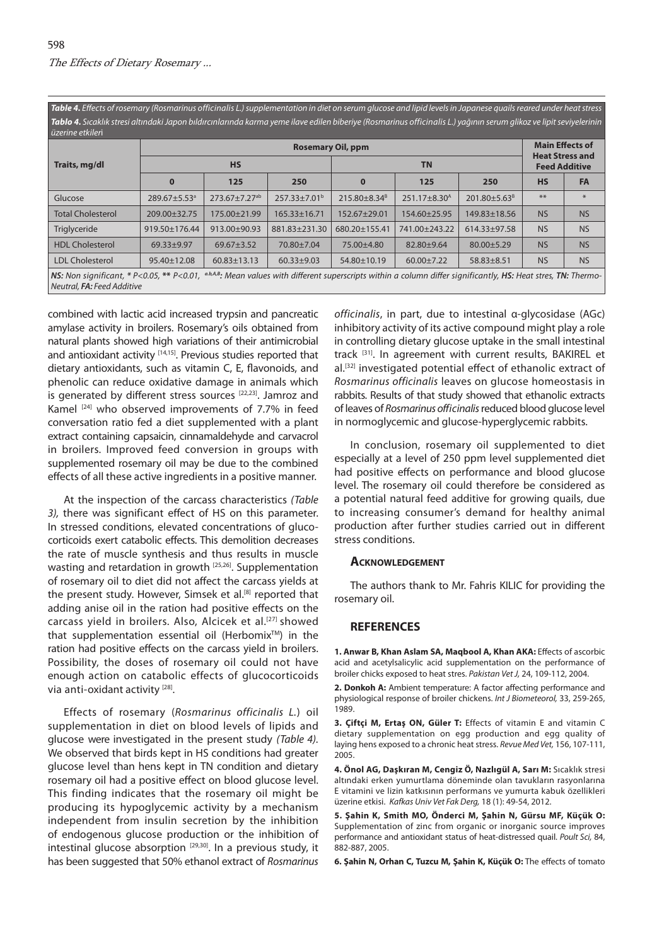*Table 4. Effects of rosemary (Rosmarinus officinalis L.) supplementation in diet on serum glucose and lipid levels in Japanese quails reared under heat stress Tablo 4. Sıcaklık stresi altındaki Japon bıldırcınlarında karma yeme ilave edilen biberiye (Rosmarinus officinalis L.) yağının serum glikoz ve lipit seviyelerinin* 

|                                                                                                                                                                                                          | <b>Rosemary Oil, ppm</b> |                           |                          |                          |                                                |                          |           | <b>Main Effects of</b> |  |
|----------------------------------------------------------------------------------------------------------------------------------------------------------------------------------------------------------|--------------------------|---------------------------|--------------------------|--------------------------|------------------------------------------------|--------------------------|-----------|------------------------|--|
| Traits, mg/dl                                                                                                                                                                                            |                          | <b>HS</b>                 |                          |                          | <b>Heat Stress and</b><br><b>Feed Additive</b> |                          |           |                        |  |
|                                                                                                                                                                                                          | $\bf{0}$                 | 125                       | 250                      | $\bf{0}$                 | 125                                            | 250                      | <b>HS</b> | <b>FA</b>              |  |
| Glucose                                                                                                                                                                                                  | 289.67±5.53 <sup>a</sup> | 273.67±7.27 <sup>ab</sup> | 257.33±7.01 <sup>b</sup> | 215.80±8.34 <sup>8</sup> | 251.17±8.30 <sup>A</sup>                       | 201.80±5.63 <sup>B</sup> | **        | *                      |  |
| <b>Total Cholesterol</b>                                                                                                                                                                                 | 209.00±32.75             | 175.00±21.99              | $165.33 \pm 16.71$       | 152.67±29.01             | 154.60±25.95                                   | 149.83±18.56             | <b>NS</b> | <b>NS</b>              |  |
| Triglyceride                                                                                                                                                                                             | 919.50±176.44            | 913.00±90.93              | 881.83±231.30            | 680.20±155.41            | 741.00±243.22                                  | 614.33±97.58             | <b>NS</b> | <b>NS</b>              |  |
| <b>HDL Cholesterol</b>                                                                                                                                                                                   | 69.33±9.97               | 69.67±3.52                | 70.80±7.04               | 75.00±4.80               | 82.80±9.64                                     | $80.00 + 5.29$           | <b>NS</b> | <b>NS</b>              |  |
| <b>LDL Cholesterol</b>                                                                                                                                                                                   | 95.40±12.08              | $60.83 \pm 13.13$         | $60.33 \pm 9.03$         | 54.80±10.19              | $60.00 \pm 7.22$                               | $58.83 \pm 8.51$         | <b>NS</b> | <b>NS</b>              |  |
| NS: Non significant, * P<0.05, ** P<0.01, $a_{A}a_{B}$ . Mean values with different superscripts within a column differ significantly, HS: Heat stres, TN: Thermo-<br>Neutral, <b>FA</b> : Feed Additive |                          |                           |                          |                          |                                                |                          |           |                        |  |

combined with lactic acid increased trypsin and pancreatic amylase activity in broilers. Rosemary's oils obtained from natural plants showed high variations of their antimicrobial and antioxidant activity [14,15]. Previous studies reported that dietary antioxidants, such as vitamin C, E, flavonoids, and phenolic can reduce oxidative damage in animals which is generated by different stress sources [22,23]. Jamroz and Kamel<sup>[24]</sup> who observed improvements of 7.7% in feed conversation ratio fed a diet supplemented with a plant extract containing capsaicin, cinnamaldehyde and carvacrol in broilers. Improved feed conversion in groups with supplemented rosemary oil may be due to the combined effects of all these active ingredients in a positive manner.

At the inspection of the carcass characteristics *(Table 3),* there was significant effect of HS on this parameter. In stressed conditions, elevated concentrations of glucocorticoids exert catabolic effects. This demolition decreases the rate of muscle synthesis and thus results in muscle wasting and retardation in growth [25,26]. Supplementation of rosemary oil to diet did not affect the carcass yields at the present study. However, Simsek et al.<sup>[8]</sup> reported that adding anise oil in the ration had positive effects on the carcass yield in broilers. Also, Alcicek et al.<sup>[27]</sup> showed that supplementation essential oil (Herbomix<sup>TM</sup>) in the ration had positive effects on the carcass yield in broilers. Possibility, the doses of rosemary oil could not have enough action on catabolic effects of glucocorticoids via anti-oxidant activity [28].

Effects of rosemary (*Rosmarinus officinalis L.*) oil supplementation in diet on blood levels of lipids and glucose were investigated in the present study *(Table 4).* We observed that birds kept in HS conditions had greater glucose level than hens kept in TN condition and dietary rosemary oil had a positive effect on blood glucose level. This finding indicates that the rosemary oil might be producing its hypoglycemic activity by a mechanism independent from insulin secretion by the inhibition of endogenous glucose production or the inhibition of intestinal glucose absorption  $[29,30]$ . In a previous study, it has been suggested that 50% ethanol extract of *Rosmarinus* 

*officinalis*, in part, due to intestinal α-glycosidase (AGc) inhibitory activity of its active compound might play a role in controlling dietary glucose uptake in the small intestinal track [31]. In agreement with current results, BAKIREL et al.[32] investigated potential effect of ethanolic extract of *Rosmarinus officinalis* leaves on glucose homeostasis in rabbits. Results of that study showed that ethanolic extracts of leaves of *Rosmarinus officinalis* reduced blood glucose level in normoglycemic and glucose-hyperglycemic rabbits.

In conclusion, rosemary oil supplemented to diet especially at a level of 250 ppm level supplemented diet had positive effects on performance and blood glucose level. The rosemary oil could therefore be considered as a potential natural feed additive for growing quails, due to increasing consumer's demand for healthy animal production after further studies carried out in different stress conditions.

#### **Acknowledgement**

The authors thank to Mr. Fahris KILIC for providing the rosemary oil.

#### **REFERENCES**

**1. Anwar B, Khan Aslam SA, Maqbool A, Khan AKA:** Effects of ascorbic acid and acetylsalicylic acid supplementation on the performance of broiler chicks exposed to heat stres. *Pakistan Vet J,* 24, 109-112, 2004.

**2. Donkoh A:** Ambient temperature: A factor affecting performance and physiological response of broiler chickens. *Int J Biometeorol,* 33, 259-265, 1989.

**3. Çiftçi M, Ertaş ON, Güler T:** Effects of vitamin E and vitamin C dietary supplementation on egg production and egg quality of laying hens exposed to a chronic heat stress. *Revue Med Vet,* 156, 107-111, 2005.

**4. Önol AG, Daşkıran M, Cengiz Ö, Nazlıgül A, Sarı M:** Sıcaklık stresi altındaki erken yumurtlama döneminde olan tavukların rasyonlarına E vitamini ve lizin katkısının performans ve yumurta kabuk özellikleri üzerine etkisi. *Kafkas Univ Vet Fak Derg,* 18 (1): 49-54, 2012.

**5. Şahin K, Smith MO, Önderci M, Şahin N, Gürsu MF, Küçük O:** Supplementation of zinc from organic or inorganic source improves performance and antioxidant status of heat-distressed quail. *Poult Sci,* 84, 882-887, 2005.

**6. Şahin N, Orhan C, Tuzcu M, Şahin K, Küçük O:** The effects of tomato